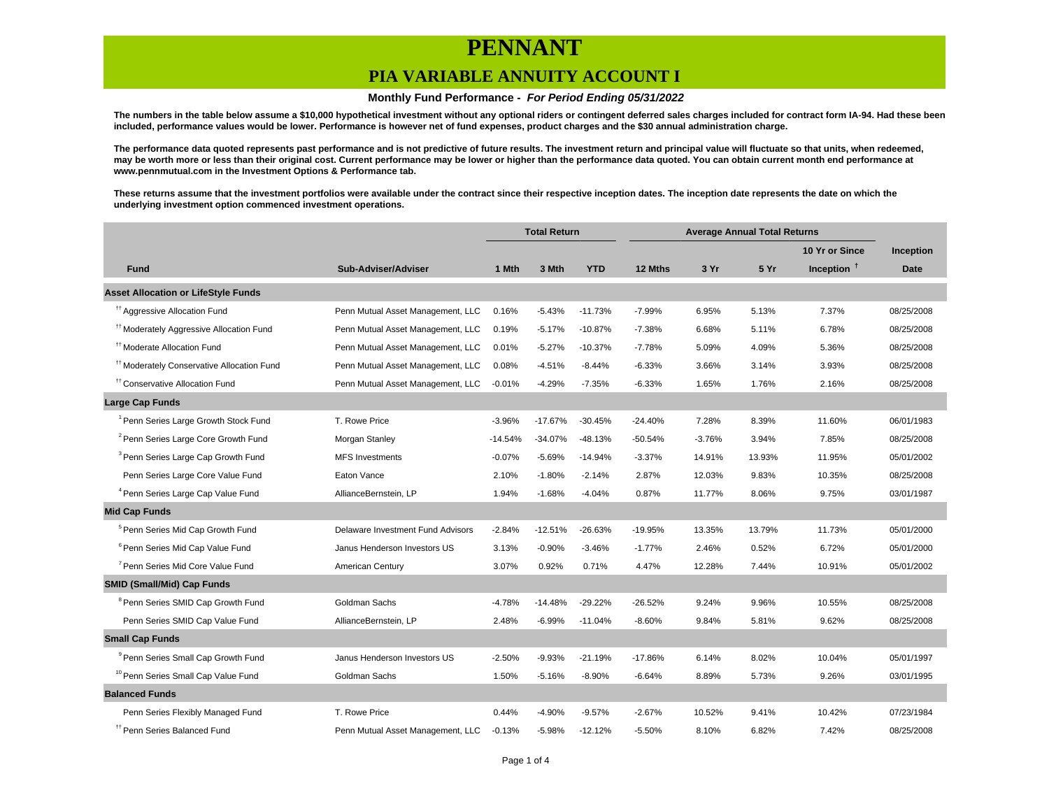### **PIA VARIABLE ANNUITY ACCOUNT I**

#### **Monthly Fund Performance - For Period Ending 05/31/2022**

**The numbers in the table below assume a \$10,000 hypothetical investment without any optional riders or contingent deferred sales charges included for contract form IA-94. Had these been included, performance values would be lower. Performance is however net of fund expenses, product charges and the \$30 annual administration charge.**

**The performance data quoted represents past performance and is not predictive of future results. The investment return and principal value will fluctuate so that units, when redeemed, may be worth more or less than their original cost. Current performance may be lower or higher than the performance data quoted. You can obtain current month end performance at www.pennmutual.com in the Investment Options & Performance tab.**

**These returns assume that the investment portfolios were available under the contract since their respective inception dates. The inception date represents the date on which the underlying investment option commenced investment operations.**

|                                                       |                                   | <b>Total Return</b> |           | <b>Average Annual Total Returns</b> |           |          |        |                |             |
|-------------------------------------------------------|-----------------------------------|---------------------|-----------|-------------------------------------|-----------|----------|--------|----------------|-------------|
|                                                       |                                   |                     |           |                                     |           |          |        | 10 Yr or Since | Inception   |
| <b>Fund</b>                                           | Sub-Adviser/Adviser               | 1 Mth               | 3 Mth     | <b>YTD</b>                          | 12 Mths   | 3 Yr     | 5 Yr   | Inception $†$  | <b>Date</b> |
| <b>Asset Allocation or LifeStyle Funds</b>            |                                   |                     |           |                                     |           |          |        |                |             |
| <sup>#†</sup> Aggressive Allocation Fund              | Penn Mutual Asset Management, LLC | 0.16%               | $-5.43%$  | $-11.73%$                           | $-7.99%$  | 6.95%    | 5.13%  | 7.37%          | 08/25/2008  |
| <sup>#†</sup> Moderately Aggressive Allocation Fund   | Penn Mutual Asset Management, LLC | 0.19%               | $-5.17%$  | $-10.87%$                           | $-7.38%$  | 6.68%    | 5.11%  | 6.78%          | 08/25/2008  |
| <sup>11</sup> Moderate Allocation Fund                | Penn Mutual Asset Management, LLC | 0.01%               | $-5.27%$  | $-10.37%$                           | $-7.78%$  | 5.09%    | 4.09%  | 5.36%          | 08/25/2008  |
| <sup>11</sup> Moderately Conservative Allocation Fund | Penn Mutual Asset Management, LLC | 0.08%               | $-4.51%$  | $-8.44%$                            | $-6.33%$  | 3.66%    | 3.14%  | 3.93%          | 08/25/2008  |
| <sup>tt</sup> Conservative Allocation Fund            | Penn Mutual Asset Management, LLC | $-0.01%$            | $-4.29%$  | $-7.35%$                            | $-6.33%$  | 1.65%    | 1.76%  | 2.16%          | 08/25/2008  |
| <b>Large Cap Funds</b>                                |                                   |                     |           |                                     |           |          |        |                |             |
| <sup>1</sup> Penn Series Large Growth Stock Fund      | T. Rowe Price                     | $-3.96%$            | $-17.67%$ | $-30.45%$                           | $-24.40%$ | 7.28%    | 8.39%  | 11.60%         | 06/01/1983  |
| <sup>2</sup> Penn Series Large Core Growth Fund       | Morgan Stanley                    | $-14.54%$           | $-34.07%$ | $-48.13%$                           | $-50.54%$ | $-3.76%$ | 3.94%  | 7.85%          | 08/25/2008  |
| <sup>3</sup> Penn Series Large Cap Growth Fund        | <b>MFS</b> Investments            | $-0.07%$            | $-5.69%$  | $-14.94%$                           | $-3.37%$  | 14.91%   | 13.93% | 11.95%         | 05/01/2002  |
| Penn Series Large Core Value Fund                     | Eaton Vance                       | 2.10%               | $-1.80%$  | $-2.14%$                            | 2.87%     | 12.03%   | 9.83%  | 10.35%         | 08/25/2008  |
| <sup>4</sup> Penn Series Large Cap Value Fund         | AllianceBernstein, LP             | 1.94%               | $-1.68%$  | $-4.04%$                            | 0.87%     | 11.77%   | 8.06%  | 9.75%          | 03/01/1987  |
| <b>Mid Cap Funds</b>                                  |                                   |                     |           |                                     |           |          |        |                |             |
| <sup>5</sup> Penn Series Mid Cap Growth Fund          | Delaware Investment Fund Advisors | $-2.84%$            | $-12.51%$ | $-26.63%$                           | -19.95%   | 13.35%   | 13.79% | 11.73%         | 05/01/2000  |
| <sup>6</sup> Penn Series Mid Cap Value Fund           | Janus Henderson Investors US      | 3.13%               | $-0.90%$  | $-3.46%$                            | $-1.77%$  | 2.46%    | 0.52%  | 6.72%          | 05/01/2000  |
| <sup>7</sup> Penn Series Mid Core Value Fund          | American Century                  | 3.07%               | 0.92%     | 0.71%                               | 4.47%     | 12.28%   | 7.44%  | 10.91%         | 05/01/2002  |
| <b>SMID (Small/Mid) Cap Funds</b>                     |                                   |                     |           |                                     |           |          |        |                |             |
| <sup>8</sup> Penn Series SMID Cap Growth Fund         | Goldman Sachs                     | $-4.78%$            | $-14.48%$ | $-29.22%$                           | $-26.52%$ | 9.24%    | 9.96%  | 10.55%         | 08/25/2008  |
| Penn Series SMID Cap Value Fund                       | AllianceBernstein, LP             | 2.48%               | $-6.99%$  | $-11.04%$                           | $-8.60%$  | 9.84%    | 5.81%  | 9.62%          | 08/25/2008  |
| <b>Small Cap Funds</b>                                |                                   |                     |           |                                     |           |          |        |                |             |
| <sup>9</sup> Penn Series Small Cap Growth Fund        | Janus Henderson Investors US      | $-2.50%$            | $-9.93%$  | $-21.19%$                           | -17.86%   | 6.14%    | 8.02%  | 10.04%         | 05/01/1997  |
| <sup>10</sup> Penn Series Small Cap Value Fund        | Goldman Sachs                     | 1.50%               | $-5.16%$  | $-8.90%$                            | $-6.64%$  | 8.89%    | 5.73%  | 9.26%          | 03/01/1995  |
| <b>Balanced Funds</b>                                 |                                   |                     |           |                                     |           |          |        |                |             |
| Penn Series Flexibly Managed Fund                     | T. Rowe Price                     | 0.44%               | $-4.90%$  | $-9.57%$                            | $-2.67%$  | 10.52%   | 9.41%  | 10.42%         | 07/23/1984  |
| <sup>††</sup> Penn Series Balanced Fund               | Penn Mutual Asset Management, LLC | $-0.13%$            | $-5.98%$  | $-12.12%$                           | $-5.50%$  | 8.10%    | 6.82%  | 7.42%          | 08/25/2008  |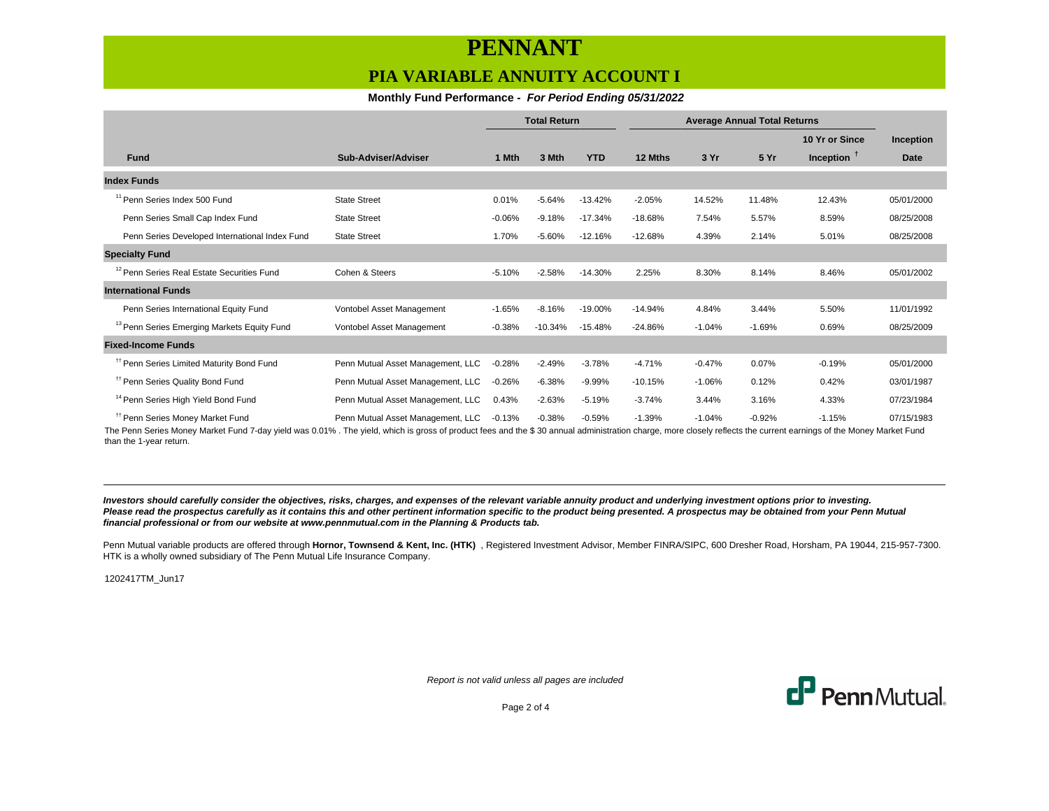### **PIA VARIABLE ANNUITY ACCOUNT I**

### **Monthly Fund Performance - For Period Ending 05/31/2022**

|                                                        |                                   | <b>Total Return</b> |           | <b>Average Annual Total Returns</b> |           |          |          |                |                  |
|--------------------------------------------------------|-----------------------------------|---------------------|-----------|-------------------------------------|-----------|----------|----------|----------------|------------------|
|                                                        |                                   |                     |           |                                     |           |          |          | 10 Yr or Since | <b>Inception</b> |
| <b>Fund</b>                                            | Sub-Adviser/Adviser               | 1 Mth               | 3 Mth     | <b>YTD</b>                          | 12 Mths   | 3 Yr     | 5 Yr     | Inception $†$  | <b>Date</b>      |
| <b>Index Funds</b>                                     |                                   |                     |           |                                     |           |          |          |                |                  |
| <sup>11</sup> Penn Series Index 500 Fund               | <b>State Street</b>               | 0.01%               | $-5.64%$  | $-13.42%$                           | $-2.05%$  | 14.52%   | 11.48%   | 12.43%         | 05/01/2000       |
| Penn Series Small Cap Index Fund                       | <b>State Street</b>               | $-0.06%$            | $-9.18%$  | $-17.34%$                           | $-18.68%$ | 7.54%    | 5.57%    | 8.59%          | 08/25/2008       |
| Penn Series Developed International Index Fund         | <b>State Street</b>               | 1.70%               | $-5.60%$  | $-12.16%$                           | $-12.68%$ | 4.39%    | 2.14%    | 5.01%          | 08/25/2008       |
| <b>Specialty Fund</b>                                  |                                   |                     |           |                                     |           |          |          |                |                  |
| <sup>12</sup> Penn Series Real Estate Securities Fund  | Cohen & Steers                    | $-5.10%$            | $-2.58%$  | $-14.30%$                           | 2.25%     | 8.30%    | 8.14%    | 8.46%          | 05/01/2002       |
| <b>International Funds</b>                             |                                   |                     |           |                                     |           |          |          |                |                  |
| Penn Series International Equity Fund                  | Vontobel Asset Management         | $-1.65%$            | $-8.16%$  | $-19.00%$                           | $-14.94%$ | 4.84%    | 3.44%    | 5.50%          | 11/01/1992       |
| <sup>13</sup> Penn Series Emerging Markets Equity Fund | Vontobel Asset Management         | $-0.38%$            | $-10.34%$ | $-15.48%$                           | $-24.86%$ | $-1.04%$ | $-1.69%$ | 0.69%          | 08/25/2009       |
| <b>Fixed-Income Funds</b>                              |                                   |                     |           |                                     |           |          |          |                |                  |
| <sup>11</sup> Penn Series Limited Maturity Bond Fund   | Penn Mutual Asset Management, LLC | $-0.28%$            | $-2.49%$  | $-3.78%$                            | $-4.71%$  | $-0.47%$ | 0.07%    | $-0.19%$       | 05/01/2000       |
| <sup>11</sup> Penn Series Quality Bond Fund            | Penn Mutual Asset Management, LLC | $-0.26%$            | $-6.38%$  | $-9.99%$                            | $-10.15%$ | $-1.06%$ | 0.12%    | 0.42%          | 03/01/1987       |
| <sup>14</sup> Penn Series High Yield Bond Fund         | Penn Mutual Asset Management, LLC | 0.43%               | $-2.63%$  | $-5.19%$                            | $-3.74%$  | 3.44%    | 3.16%    | 4.33%          | 07/23/1984       |
| <sup>11</sup> Penn Series Money Market Fund            | Penn Mutual Asset Management, LLC | $-0.13%$            | $-0.38%$  | $-0.59%$                            | $-1.39%$  | $-1.04%$ | $-0.92%$ | $-1.15%$       | 07/15/1983       |

The Penn Series Money Market Fund 7-day yield was 0.01% . The yield, which is gross of product fees and the \$ 30 annual administration charge, more closely reflects the current earnings of the Money Market Fund than the 1-year return.

**Investors should carefully consider the objectives, risks, charges, and expenses of the relevant variable annuity product and underlying investment options prior to investing.** Please read the prospectus carefully as it contains this and other pertinent information specific to the product being presented. A prospectus may be obtained from your Penn Mutual **financial professional or from our website at www.pennmutual.com in the Planning & Products tab.**

Penn Mutual variable products are offered through Hornor, Townsend & Kent, Inc. (HTK), Registered Investment Advisor, Member FINRA/SIPC, 600 Dresher Road, Horsham, PA 19044, 215-957-7300. HTK is a wholly owned subsidiary of The Penn Mutual Life Insurance Company.

1202417TM\_Jun17

Report is not valid unless all pages are included



Page 2 of 4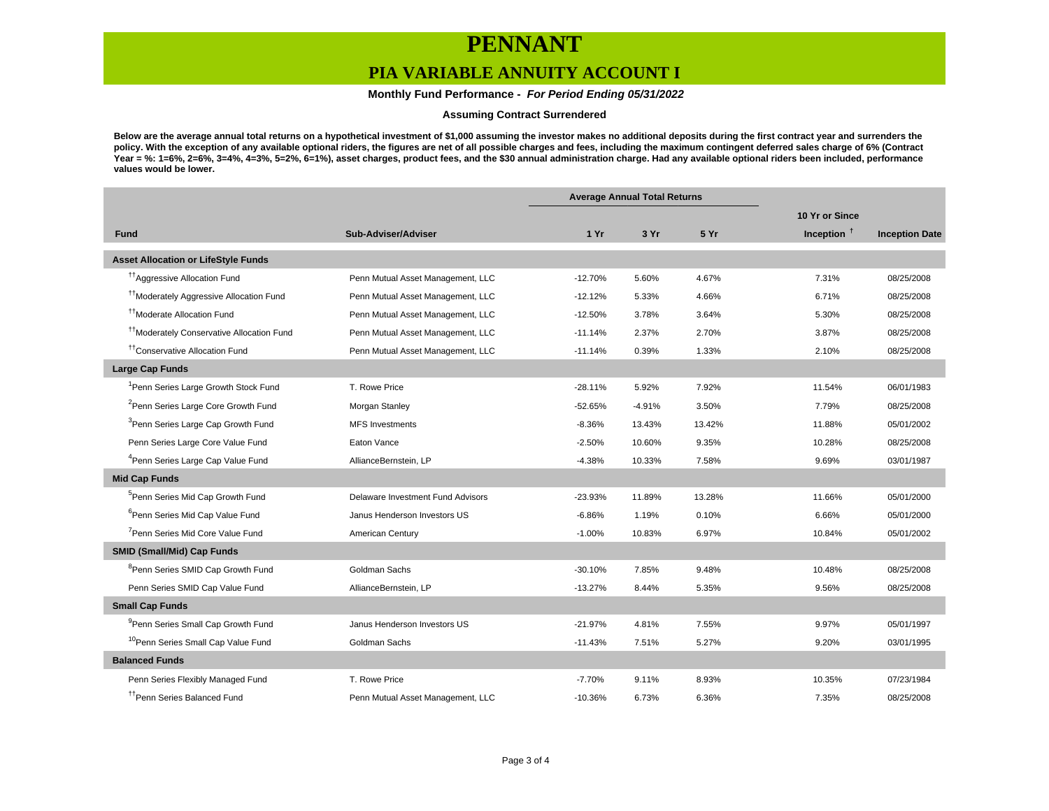### **PIA VARIABLE ANNUITY ACCOUNT I**

 **Monthly Fund Performance - For Period Ending 05/31/2022**

#### **Assuming Contract Surrendered**

**Below are the average annual total returns on a hypothetical investment of \$1,000 assuming the investor makes no additional deposits during the first contract year and surrenders the policy. With the exception of any available optional riders, the figures are net of all possible charges and fees, including the maximum contingent deferred sales charge of 6% (Contract Year = %: 1=6%, 2=6%, 3=4%, 4=3%, 5=2%, 6=1%), asset charges, product fees, and the \$30 annual administration charge. Had any available optional riders been included, performance values would be lower.**

|                                                       |                                   | <b>Average Annual Total Returns</b> |          |        |                |                       |
|-------------------------------------------------------|-----------------------------------|-------------------------------------|----------|--------|----------------|-----------------------|
|                                                       |                                   |                                     |          |        | 10 Yr or Since |                       |
| <b>Fund</b>                                           | Sub-Adviser/Adviser               | 1 Yr                                | 3 Yr     | 5 Yr   | Inception $†$  | <b>Inception Date</b> |
| <b>Asset Allocation or LifeStyle Funds</b>            |                                   |                                     |          |        |                |                       |
| <sup>17</sup> Aggressive Allocation Fund              | Penn Mutual Asset Management, LLC | $-12.70%$                           | 5.60%    | 4.67%  | 7.31%          | 08/25/2008            |
| <sup>11</sup> Moderately Aggressive Allocation Fund   | Penn Mutual Asset Management, LLC | $-12.12%$                           | 5.33%    | 4.66%  | 6.71%          | 08/25/2008            |
| <sup>11</sup> Moderate Allocation Fund                | Penn Mutual Asset Management, LLC | $-12.50%$                           | 3.78%    | 3.64%  | 5.30%          | 08/25/2008            |
| <sup>††</sup> Moderately Conservative Allocation Fund | Penn Mutual Asset Management, LLC | $-11.14%$                           | 2.37%    | 2.70%  | 3.87%          | 08/25/2008            |
| <sup>††</sup> Conservative Allocation Fund            | Penn Mutual Asset Management, LLC | $-11.14%$                           | 0.39%    | 1.33%  | 2.10%          | 08/25/2008            |
| <b>Large Cap Funds</b>                                |                                   |                                     |          |        |                |                       |
| <sup>1</sup> Penn Series Large Growth Stock Fund      | T. Rowe Price                     | $-28.11%$                           | 5.92%    | 7.92%  | 11.54%         | 06/01/1983            |
| <sup>2</sup> Penn Series Large Core Growth Fund       | Morgan Stanley                    | $-52.65%$                           | $-4.91%$ | 3.50%  | 7.79%          | 08/25/2008            |
| <sup>3</sup> Penn Series Large Cap Growth Fund        | <b>MFS Investments</b>            | $-8.36%$                            | 13.43%   | 13.42% | 11.88%         | 05/01/2002            |
| Penn Series Large Core Value Fund                     | Eaton Vance                       | $-2.50%$                            | 10.60%   | 9.35%  | 10.28%         | 08/25/2008            |
| <sup>4</sup> Penn Series Large Cap Value Fund         | AllianceBernstein, LP             | $-4.38%$                            | 10.33%   | 7.58%  | 9.69%          | 03/01/1987            |
| <b>Mid Cap Funds</b>                                  |                                   |                                     |          |        |                |                       |
| <sup>5</sup> Penn Series Mid Cap Growth Fund          | Delaware Investment Fund Advisors | $-23.93%$                           | 11.89%   | 13.28% | 11.66%         | 05/01/2000            |
| <sup>6</sup> Penn Series Mid Cap Value Fund           | Janus Henderson Investors US      | $-6.86%$                            | 1.19%    | 0.10%  | 6.66%          | 05/01/2000            |
| <sup>7</sup> Penn Series Mid Core Value Fund          | American Century                  | $-1.00%$                            | 10.83%   | 6.97%  | 10.84%         | 05/01/2002            |
| <b>SMID (Small/Mid) Cap Funds</b>                     |                                   |                                     |          |        |                |                       |
| <sup>8</sup> Penn Series SMID Cap Growth Fund         | Goldman Sachs                     | $-30.10%$                           | 7.85%    | 9.48%  | 10.48%         | 08/25/2008            |
| Penn Series SMID Cap Value Fund                       | AllianceBernstein, LP             | $-13.27%$                           | 8.44%    | 5.35%  | 9.56%          | 08/25/2008            |
| <b>Small Cap Funds</b>                                |                                   |                                     |          |        |                |                       |
| <sup>9</sup> Penn Series Small Cap Growth Fund        | Janus Henderson Investors US      | $-21.97%$                           | 4.81%    | 7.55%  | 9.97%          | 05/01/1997            |
| <sup>10</sup> Penn Series Small Cap Value Fund        | Goldman Sachs                     | $-11.43%$                           | 7.51%    | 5.27%  | 9.20%          | 03/01/1995            |
| <b>Balanced Funds</b>                                 |                                   |                                     |          |        |                |                       |
| Penn Series Flexibly Managed Fund                     | T. Rowe Price                     | $-7.70%$                            | 9.11%    | 8.93%  | 10.35%         | 07/23/1984            |
| <sup>tt</sup> Penn Series Balanced Fund               | Penn Mutual Asset Management, LLC | $-10.36%$                           | 6.73%    | 6.36%  | 7.35%          | 08/25/2008            |